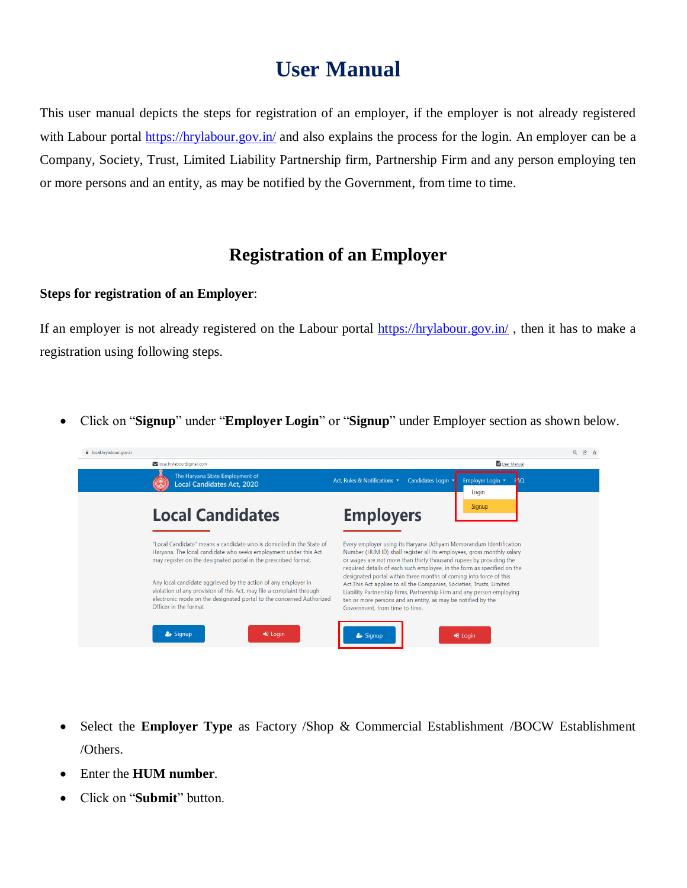## **User Manual**

This user manual depicts the steps for registration of an employer, if the employer is not already registered with Labour portal<https://hrylabour.gov.in/> and also explains the process for the login. An employer can be a Company, Society, Trust, Limited Liability Partnership firm, Partnership Firm and any person employing ten or more persons and an entity, as may be notified by the Government, from time to time.

## **Registration of an Employer**

## **Steps for registration of an Employer**:

If an employer is not already registered on the Labour portal<https://hrylabour.gov.in/>, then it has to make a registration using following steps.

Click on "**Signup**" under "**Employer Login**" or "**Signup**" under Employer section as shown below.

| la local.hrvlabour.gov.in |                                                                                                                                                                                                                                         | @ 段 ☆                                                                                                                                                                                                                                                                                                                    |
|---------------------------|-----------------------------------------------------------------------------------------------------------------------------------------------------------------------------------------------------------------------------------------|--------------------------------------------------------------------------------------------------------------------------------------------------------------------------------------------------------------------------------------------------------------------------------------------------------------------------|
|                           | local.hrylabour@gmail.com                                                                                                                                                                                                               | User Manual                                                                                                                                                                                                                                                                                                              |
|                           | The Haryana State Employment of<br><b>Local Candidates Act. 2020</b>                                                                                                                                                                    | Candidates Login v<br>Employer Login v<br>Act. Rules & Notifications $\star$<br>A <sub>O</sub><br>Login                                                                                                                                                                                                                  |
|                           | <b>Local Candidates</b>                                                                                                                                                                                                                 | Signup<br><b>Employers</b>                                                                                                                                                                                                                                                                                               |
|                           | "Local Candidate" means a candidate who is domiciled in the State of<br>Haryana. The local candidate who seeks employment under this Act<br>may register on the designated portal in the prescribed format.                             | Every employer using its Haryana Udhyam Memorandum Identification<br>Number (HUM ID) shall register all its employees, gross monthly salary<br>or wages are not more than thirty thousand rupees by providing the<br>required details of each such employee, in the form as specified on the                             |
|                           | Any local candidate aggrieved by the action of any employer in<br>violation of any provision of this Act, may file a complaint through<br>electronic mode on the designated portal to the concerned Authorized<br>Officer in the format | designated portal within three months of coming into force of this<br>Act. This Act applies to all the Companies, Societies, Trusts, Limited<br>Liability Partnership firms, Partnership Firm and any person employing<br>ten or more persons and an entity, as may be notified by the<br>Government, from time to time. |
|                           | $\frac{2}{\sqrt{2}}$ Signup<br>D Login                                                                                                                                                                                                  | & Signup<br>$\bigtriangledown$ Login                                                                                                                                                                                                                                                                                     |

- Select the **Employer Type** as Factory /Shop & Commercial Establishment /BOCW Establishment /Others.
- Enter the **HUM number**.
- Click on "**Submit**" button.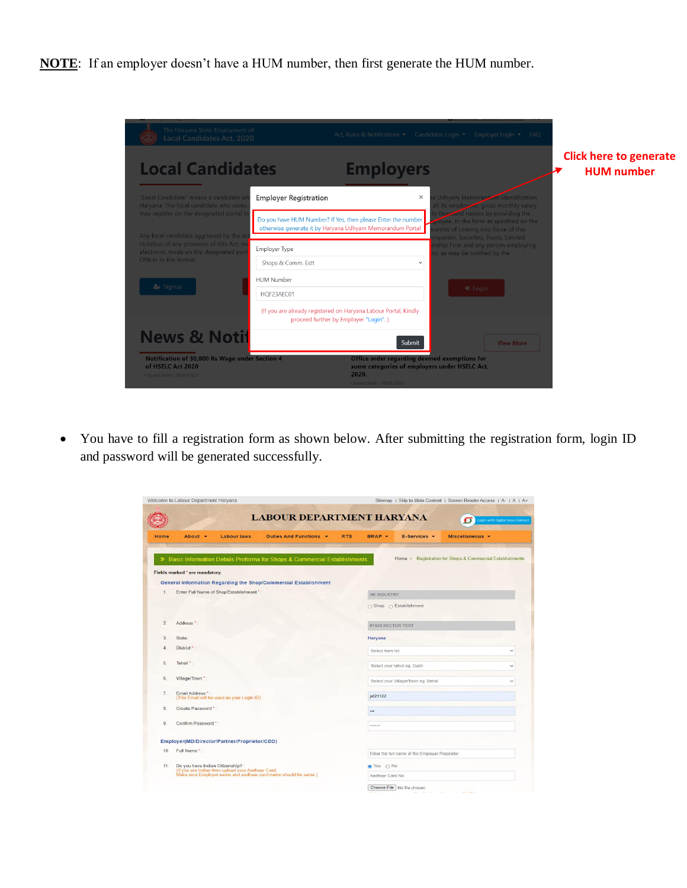**NOTE**: If an employer doesn't have a HUM number, then first generate the HUM number.

| <b>Local Candidates</b>                                                                                                       | <b>Employers</b>                                                                                                          |                                                                                                                     | <b>Click here to generate</b><br><b>HUM</b> number |
|-------------------------------------------------------------------------------------------------------------------------------|---------------------------------------------------------------------------------------------------------------------------|---------------------------------------------------------------------------------------------------------------------|----------------------------------------------------|
| "Local Candidate" means a candidate w<br>Haryana. The local candidate who seeks                                               | <b>Employer Registration</b>                                                                                              | Judhyam Memorandam Identification<br>$\times$<br>all its employers, gross monthly salary                            |                                                    |
| may register on the designated portal i                                                                                       | Do you have HUM Number? If Yes, then please Enter the number<br>otherwise generate it by Haryana Udhyam Memorandum Portal | y thousand rupees by providing the<br>olovee, in the form as specified on the<br>onths of coming into force of this |                                                    |
| Any local candidate aggrieved by the ad<br>violation of any provision of this Act, m<br>electronic mode on the designated por | Employer Type                                                                                                             | mpanies, Societies, Trusts, Limited<br>rship Firm and any person employing<br>y, as may be notified by the          |                                                    |
| Officer in the format                                                                                                         | Shops & Comm. Estt                                                                                                        | $\checkmark$                                                                                                        |                                                    |
| & Signup                                                                                                                      | <b>HUM Number</b>                                                                                                         |                                                                                                                     |                                                    |
|                                                                                                                               | HQF23AEC01                                                                                                                | <b>D</b> Login                                                                                                      |                                                    |
|                                                                                                                               | (If you are already registered on Haryana Labour Portal, Kindly<br>proceed further by Employer "Login".)                  |                                                                                                                     |                                                    |
| <b>News &amp; Notif</b>                                                                                                       |                                                                                                                           | Submit<br><b>View More</b>                                                                                          |                                                    |
| Notification of 30,000 Rs Wage under Section 4<br>of HSELC Act 2020                                                           |                                                                                                                           | Office order regarding deemed exemptions for<br>some categories of employers under HSELC Act,                       |                                                    |
| . Issued Date: - 20/01/2022                                                                                                   | 2020.                                                                                                                     |                                                                                                                     |                                                    |

 You have to fill a registration form as shown below. After submitting the registration form, login ID and password will be generated successfully.

| <b>LABOUR DEPARTMENT HARYANA</b><br>Login with Digital Seva Connect                                                                                                    |
|------------------------------------------------------------------------------------------------------------------------------------------------------------------------|
| <b>RTS</b><br>BRAP -<br>Duties And Functions -<br>E-Services -<br>Miscellaneous -                                                                                      |
| Home > Registration for Shops & Commercial Establishments<br>Basic Information Details Proforma for Shops & Commercial Establishments                                  |
|                                                                                                                                                                        |
| General Information Regarding the Shop/Commercial Establishment                                                                                                        |
| AK INDUSTRY                                                                                                                                                            |
| $\bigcirc$ Shop $\bigcirc$ Establishment                                                                                                                               |
|                                                                                                                                                                        |
| #1628.SECTOR TEST                                                                                                                                                      |
| Haryana                                                                                                                                                                |
| Select from list<br>$\checkmark$                                                                                                                                       |
| Select your tehsil eg. Dadri<br>$\checkmark$                                                                                                                           |
| Select your Village/Town eg. Behal<br>$\checkmark$                                                                                                                     |
| jat21122                                                                                                                                                               |
|                                                                                                                                                                        |
|                                                                                                                                                                        |
|                                                                                                                                                                        |
| Enter the full name of the Employer Proprietor                                                                                                                         |
| Do you have Indian Citizenship? :<br>(If you are Indian then upload your Aadhaar Card,<br>Make sure Employer name and aadhaar card name should be same.)<br>● Yes ○ No |
| Aadhaar Card No.                                                                                                                                                       |
|                                                                                                                                                                        |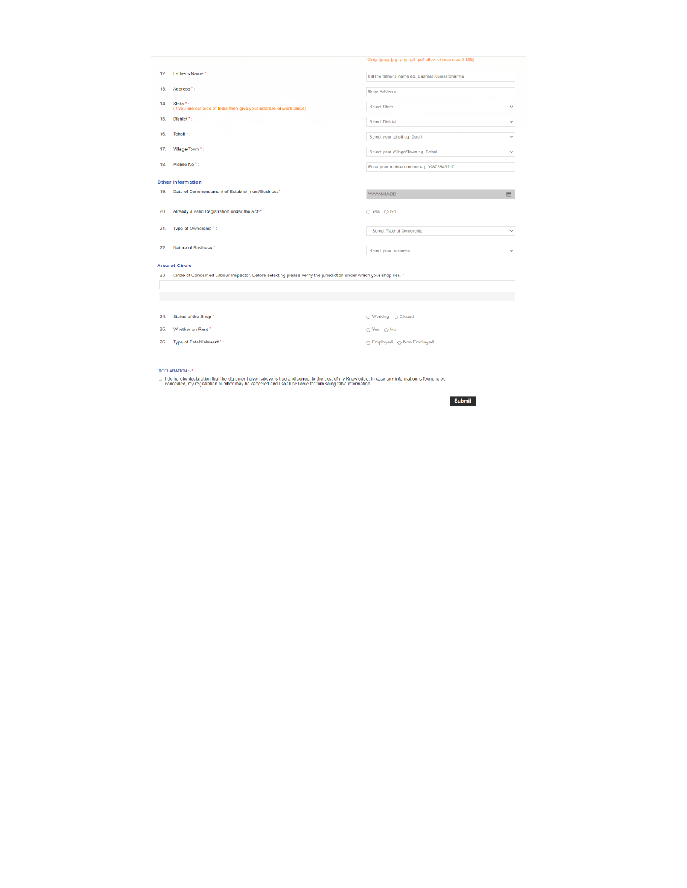|     |                                                                                                                      | (Only .jpeg .jpg .png .gif .pdf allow of max size 2 MB) |              |
|-----|----------------------------------------------------------------------------------------------------------------------|---------------------------------------------------------|--------------|
| 12. | Father's Name *:                                                                                                     | Fill the father's name eg. Dashrat Kumar Sharma         |              |
| 13. | Address <sup>*</sup> :                                                                                               | <b>Enter Address</b>                                    |              |
| 14. | State *:<br>(If you are out side of India then give your address of work place)                                      | <b>Select State</b>                                     | $\checkmark$ |
| 15. | District <sup>*</sup> :                                                                                              | <b>Select District</b>                                  | $\checkmark$ |
| 16. | Tehsil <sup>*</sup> :                                                                                                | Select your tehsil eg. Dadri                            | $\checkmark$ |
| 17. | Village/Town *:                                                                                                      | Select your Village/Town eg. Behal                      | $\checkmark$ |
| 18. | Mobile No <sup>*</sup> :                                                                                             | Enter your mobile number eg. 09876543210                |              |
|     | <b>Other Information</b>                                                                                             |                                                         |              |
| 19. | Date of Commencement of Establishment/Business*:                                                                     | YYYY-MM-DD                                              | 曲            |
| 20. | Already a valid Registration under the Act?*:                                                                        | $\bigcirc$ Yes $\bigcirc$ No                            |              |
| 21. | Type of Ownership*:                                                                                                  | --Select Type of Ownership--                            | $\checkmark$ |
| 22. | Nature of Business *:                                                                                                | Select your business                                    | $\checkmark$ |
|     | <b>Area of Circle</b>                                                                                                |                                                         |              |
| 23  | Circle of Concerned Labour Inspector. Before selecting please verify the jurisdiction under which your shop lies. *: |                                                         |              |
|     |                                                                                                                      |                                                         |              |
|     |                                                                                                                      |                                                         |              |
| 24. | Status of the Shop*:                                                                                                 | ○ Working ○ Closed                                      |              |
| 25. | Whether on Rent *:                                                                                                   | ○ Yes ○ No                                              |              |
| 26. | Type of Establishment *:                                                                                             | ○ Employed ○ Non Employed                               |              |

 $\pmb{\quad \text{DECLARATION ::}}^\star$ 

→<br>D - I do hereby declaration that the statement given above is true and correct to the best of my Knowledge. In case any information is found to be<br>- concealed, my registration number may be canceled and I shall be liabl

Submit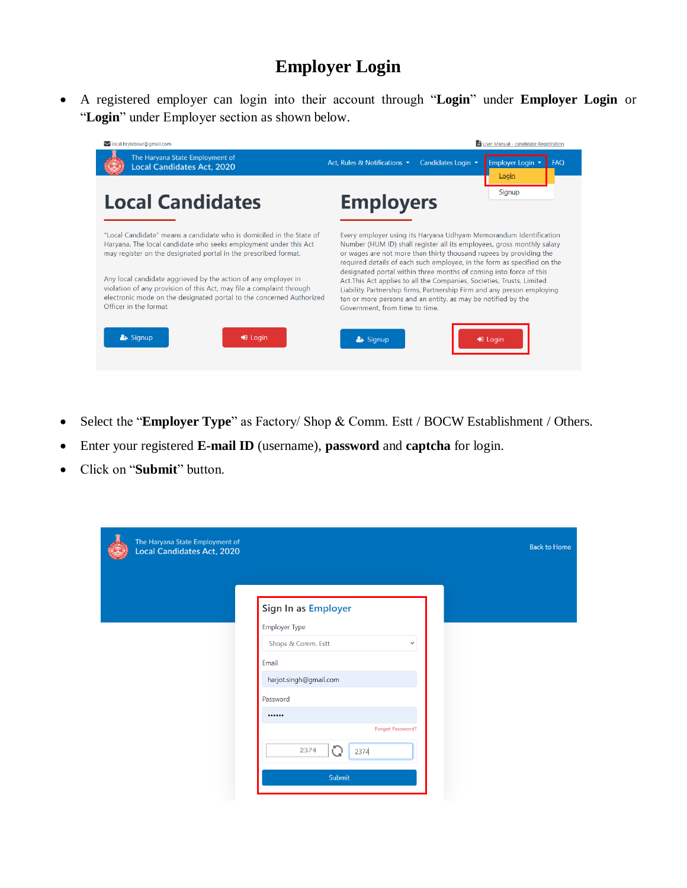## **Employer Login**

 A registered employer can login into their account through "**Login**" under **Employer Login** or "**Login**" under Employer section as shown below.



- Select the "**Employer Type**" as Factory/ Shop & Comm. Estt / BOCW Establishment / Others.
- Enter your registered **E-mail ID** (username), **password** and **captcha** for login.
- Click on "**Submit**" button.

| The Haryana State Employment of<br>Local Candidates Act, 2020 |                                    | <b>Back to Home</b> |
|---------------------------------------------------------------|------------------------------------|---------------------|
|                                                               | Sign In as Employer                |                     |
|                                                               | <b>Employer Type</b>               |                     |
|                                                               | Shops & Comm. Estt<br>$\checkmark$ |                     |
|                                                               | Email                              |                     |
|                                                               | harjot.singh@gmail.com             |                     |
|                                                               | Password                           |                     |
|                                                               |                                    |                     |
|                                                               | Forgot Password?                   |                     |
|                                                               | C<br>2374<br>2374                  |                     |
|                                                               | Submit                             |                     |